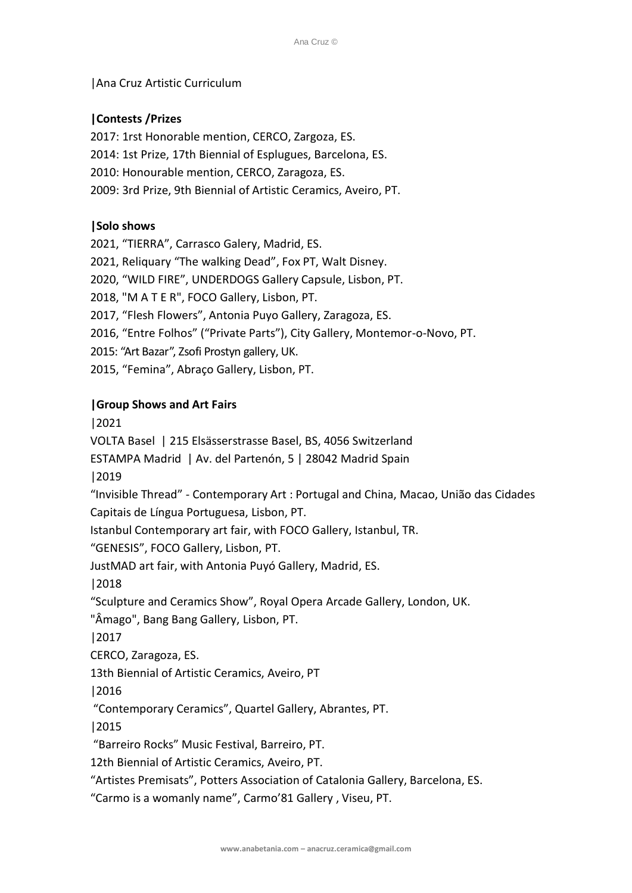## |Ana Cruz Artistic Curriculum

# **|Contests /Prizes**

2017: 1rst Honorable mention, CERCO, Zargoza, ES. 2014: 1st Prize, 17th Biennial of Esplugues, Barcelona, ES. 2010: Honourable mention, CERCO, Zaragoza, ES. 2009: 3rd Prize, 9th Biennial of Artistic Ceramics, Aveiro, PT.

# **|Solo shows**

2021, "TIERRA", Carrasco Galery, Madrid, ES.

2021, Reliquary "The walking Dead", Fox PT, Walt Disney.

2020, "WILD FIRE", UNDERDOGS Gallery Capsule, Lisbon, PT.

2018, "M A T E R", FOCO Gallery, Lisbon, PT.

2017, "Flesh Flowers", Antonia Puyo Gallery, Zaragoza, ES.

2016, "Entre Folhos" ("Private Parts"), City Gallery, Montemor-o-Novo, PT.

2015: "Art Bazar", Zsofi Prostyn gallery, UK.

2015, "Femina", Abraço Gallery, Lisbon, PT.

### **|Group Shows and Art Fairs**

|2021

VOLTA Basel | 215 Elsässerstrasse Basel, BS, 4056 Switzerland

ESTAMPA Madrid | Av. del Partenón, 5 | 28042 Madrid Spain

|2019

"Invisible Thread" - Contemporary Art : Portugal and China, Macao, União das Cidades Capitais de Língua Portuguesa, Lisbon, PT.

Istanbul Contemporary art fair, with FOCO Gallery, Istanbul, TR.

"GENESIS", FOCO Gallery, Lisbon, PT.

JustMAD art fair, with Antonia Puyó Gallery, Madrid, ES.

|2018

"Sculpture and Ceramics Show", Royal Opera Arcade Gallery, London, UK.

"Âmago", Bang Bang Gallery, Lisbon, PT.

|2017

CERCO, Zaragoza, ES.

13th Biennial of Artistic Ceramics, Aveiro, PT

|2016

"Contemporary Ceramics", Quartel Gallery, Abrantes, PT.

|2015

"Barreiro Rocks" Music Festival, Barreiro, PT.

12th Biennial of Artistic Ceramics, Aveiro, PT.

"Artistes Premisats", Potters Association of Catalonia Gallery, Barcelona, ES.

"Carmo is a womanly name", Carmo'81 Gallery , Viseu, PT.